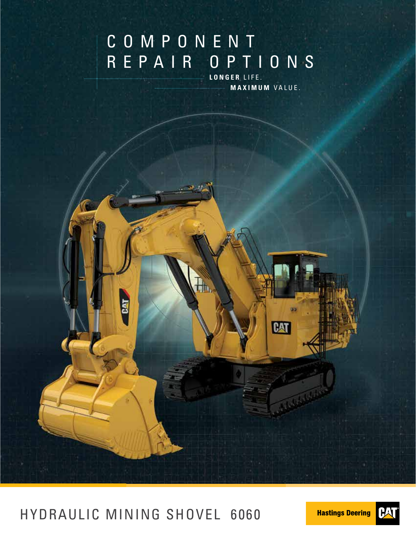# COMPONENT REPAIR OPTIONS

**LONGER** LIFE. **MAXIMUM** VALUE.



HYDRAULIC MINING SHOVEL 6060

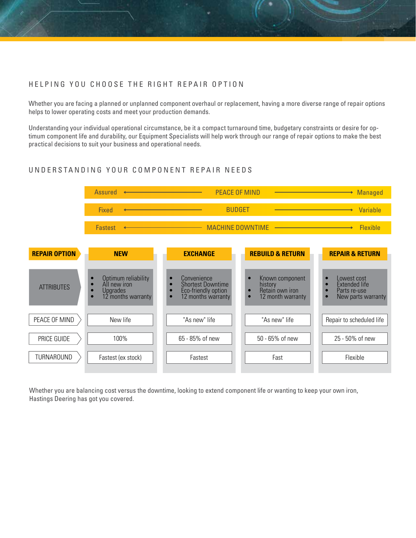#### HELPING YOU CHOOSE THE RIGHT REPAIR OPTION

Whether you are facing a planned or unplanned component overhaul or replacement, having a more diverse range of repair options helps to lower operating costs and meet your production demands.

Understanding your individual operational circumstance, be it a compact turnaround time, budgetary constraints or desire for optimum component life and durability, our Equipment Specialists will help work through our range of repair options to make the best practical decisions to suit your business and operational needs.

#### UNDERSTANDING YOUR COMPONENT REPAIR NEEDS



Whether you are balancing cost versus the downtime, looking to extend component life or wanting to keep your own iron, Hastings Deering has got you covered.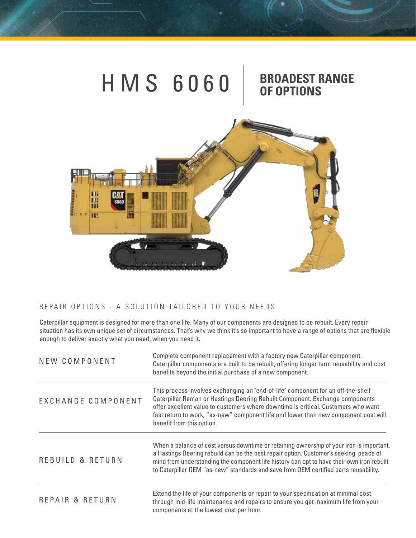



### REPAIR OPTIONS - A SOLUTION TAILORED TO YOUR NEEDS

Caterpillar equipment is designed for more than one life. Many of our components are designed to be rebuilt. Every repair situation has its own unique set of circumstances. That's why we think it's so important to have a range of options that are flexible enough to deliver exactly what you need, when you need it.

| NEW COMPONENT               | Complete component replacement with a factory new Caterpillar component.<br>Caterpillar components are built to be rebuilt, offering longer term reusability and cost<br>benefits beyond the initial purchase of a new component.                                                                                                                                         |  |  |  |
|-----------------------------|---------------------------------------------------------------------------------------------------------------------------------------------------------------------------------------------------------------------------------------------------------------------------------------------------------------------------------------------------------------------------|--|--|--|
| EXCHANGE COMPONENT          | This process involves exchanging an "end-of-life" component for an off-the-shelf<br>Caterpillar Reman or Hastings Deering Rebuilt Component. Exchange components<br>offer excellent value to customers where downtime is critical. Customers who want<br>fast return to work, "as-new" component life and lower than new component cost will<br>benefit from this option. |  |  |  |
| <b>REBUILD &amp; RETURN</b> | When a balance of cost versus downtime or retaining ownership of your iron is important,<br>a Hastings Deering rebuild can be the best repair option. Customer's seeking peace of<br>mind from understanding the component life history can opt to have their own iron rebuilt<br>to Caterpillar OEM "as-new" standards and save from OEM certified parts reusability.    |  |  |  |
| REPAIR & RETURN             | Extend the life of your components or repair to your specification at minimal cost<br>through mid-life maintenance and repairs to ensure you get maximum life from your<br>components at the lowest cost per hour.                                                                                                                                                        |  |  |  |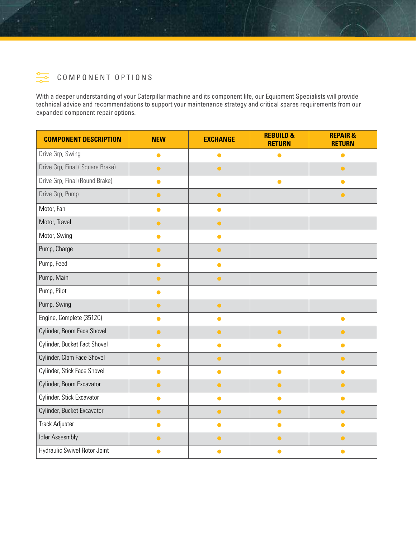

With a deeper understanding of your Caterpillar machine and its component life, our Equipment Specialists will provide technical advice and recommendations to support your maintenance strategy and critical spares requirements from our expanded component repair options.

| <b>COMPONENT DESCRIPTION</b>    | <b>NEW</b> | <b>EXCHANGE</b> | <b>REBUILD &amp;</b><br><b>RETURN</b> | <b>REPAIR &amp;</b><br><b>RETURN</b> |
|---------------------------------|------------|-----------------|---------------------------------------|--------------------------------------|
| Drive Grp, Swing                | $\bullet$  | $\bullet$       | $\bullet$                             | $\bullet$                            |
| Drive Grp, Final (Square Brake) | $\bullet$  | $\bullet$       |                                       | $\bullet$                            |
| Drive Grp, Final (Round Brake)  | $\bullet$  |                 | $\bullet$                             | $\bullet$                            |
| Drive Grp, Pump                 | $\bullet$  | $\bullet$       |                                       | $\bullet$                            |
| Motor, Fan                      | $\bullet$  | $\bullet$       |                                       |                                      |
| Motor, Travel                   | $\bullet$  | $\bullet$       |                                       |                                      |
| Motor, Swing                    | $\bullet$  | $\bullet$       |                                       |                                      |
| Pump, Charge                    | $\bullet$  | $\bullet$       |                                       |                                      |
| Pump, Feed                      | $\bullet$  | $\bullet$       |                                       |                                      |
| Pump, Main                      | $\bullet$  | $\bullet$       |                                       |                                      |
| Pump, Pilot                     | $\bullet$  |                 |                                       |                                      |
| Pump, Swing                     | $\bullet$  | $\bullet$       |                                       |                                      |
| Engine, Complete (3512C)        | $\bullet$  | $\bullet$       |                                       | $\bullet$                            |
| Cylinder, Boom Face Shovel      | $\bullet$  | $\bullet$       | $\bullet$                             | $\bullet$                            |
| Cylinder, Bucket Fact Shovel    | $\bullet$  | $\bullet$       | $\bullet$                             | $\bullet$                            |
| Cylinder, Clam Face Shovel      | $\bullet$  | $\bullet$       |                                       | $\bullet$                            |
| Cylinder, Stick Face Shovel     | $\bullet$  | $\bullet$       | $\bullet$                             | $\bullet$                            |
| Cylinder, Boom Excavator        | $\bullet$  | $\bullet$       | $\bullet$                             | $\bullet$                            |
| Cylinder, Stick Excavator       | $\bullet$  | $\bullet$       | $\bullet$                             | $\bullet$                            |
| Cylinder, Bucket Excavator      | $\bullet$  | $\bullet$       | $\bullet$                             | $\bullet$                            |
| <b>Track Adjuster</b>           | $\bullet$  | $\bullet$       | $\bullet$                             | $\bullet$                            |
| <b>Idler Assesmbly</b>          | $\bullet$  | $\bullet$       | $\bullet$                             | $\bullet$                            |
| Hydraulic Swivel Rotor Joint    | $\bullet$  | $\bullet$       | $\bullet$                             | $\bullet$                            |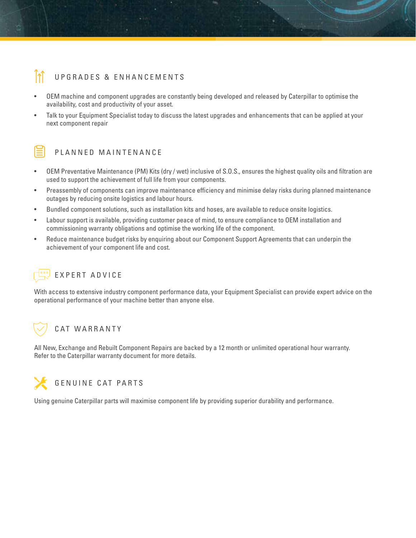## UPGRADES & ENHANCEMENTS

- OEM machine and component upgrades are constantly being developed and released by Caterpillar to optimise the availability, cost and productivity of your asset.
- Talk to your Equipment Specialist today to discuss the latest upgrades and enhancements that can be applied at your next component repair



#### PLANNED MAINTENANCE

- OEM Preventative Maintenance (PM) Kits (dry / wet) inclusive of S.O.S., ensures the highest quality oils and filtration are used to support the achievement of full life from your components.
- Preassembly of components can improve maintenance efficiency and minimise delay risks during planned maintenance outages by reducing onsite logistics and labour hours.
- Bundled component solutions, such as installation kits and hoses, are available to reduce onsite logistics.
- Labour support is available, providing customer peace of mind, to ensure compliance to OEM installation and commissioning warranty obligations and optimise the working life of the component.
- Reduce maintenance budget risks by enquiring about our Component Support Agreements that can underpin the achievement of your component life and cost.

## EXPERT ADVICE

With access to extensive industry component performance data, your Equipment Specialist can provide expert advice on the operational performance of your machine better than anyone else.

## CAT WARRANTY

All New, Exchange and Rebuilt Component Repairs are backed by a 12 month or unlimited operational hour warranty. Refer to the Caterpillar warranty document for more details.



Using genuine Caterpillar parts will maximise component life by providing superior durability and performance.